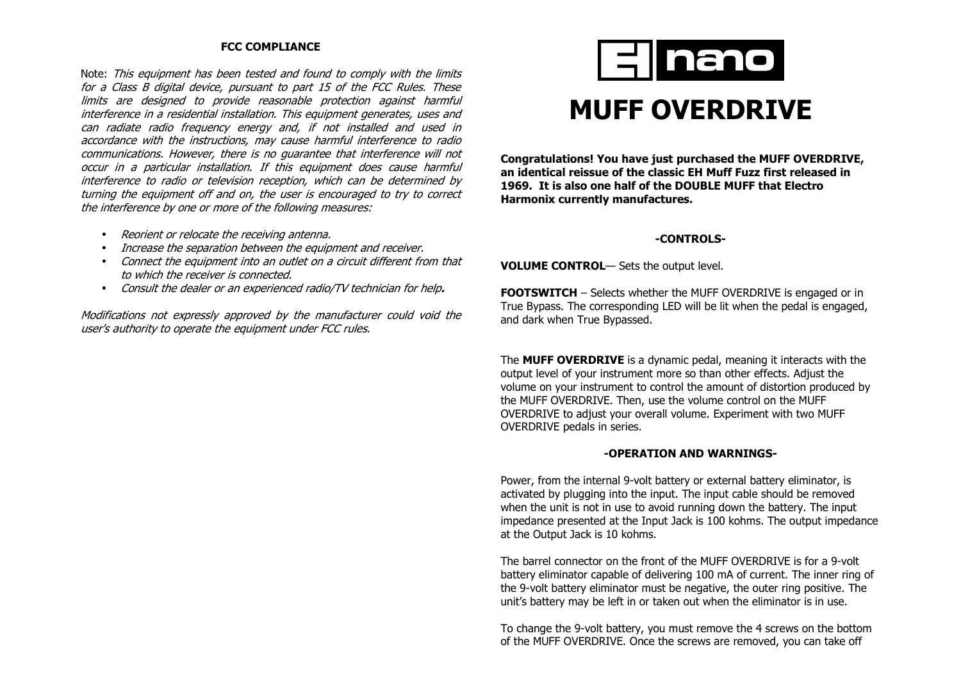## **FCC COMPLIANCE**

Note: This equipment has been tested and found to comply with the limits for a Class B digital device, pursuant to part 15 of the FCC Rules. These limits are designed to provide reasonable protection against harmful interference in a residential installation. This equipment generates, uses and can radiate radio frequency energy and, if not installed and used in accordance with the instructions, may cause harmful interference to radio communications. However, there is no guarantee that interference will not occur in a particular installation. If this equipment does cause harmful interference to radio or television reception, which can be determined by turning the equipment off and on, the user is encouraged to try to correct the interference by one or more of the following measures:

- Reorient or relocate the receiving antenna.
- Increase the separation between the equipment and receiver.
- Connect the equipment into an outlet on a circuit different from that to which the receiver is connected.
- Consult the dealer or an experienced radio/TV technician for help**.**

Modifications not expressly approved by the manufacturer could void the user's authority to operate the equipment under FCC rules.



# **MUFF OVERDRIVE**

**Congratulations! You have just purchased the MUFF OVERDRIVE, an identical reissue of the classic EH Muff Fuzz first released in 1969. It is also one half of the DOUBLE MUFF that Electro Harmonix currently manufactures.** 

# **-CONTROLS-**

**VOLUME CONTROL**— Sets the output level.

**FOOTSWITCH** – Selects whether the MUFF OVERDRIVE is engaged or in True Bypass. The corresponding LED will be lit when the pedal is engaged, and dark when True Bypassed.

The **MUFF OVERDRIVE** is a dynamic pedal, meaning it interacts with the output level of your instrument more so than other effects. Adjust the volume on your instrument to control the amount of distortion produced by the MUFF OVERDRIVE. Then, use the volume control on the MUFF OVERDRIVE to adjust your overall volume. Experiment with two MUFF OVERDRIVE pedals in series.

## **-OPERATION AND WARNINGS-**

Power, from the internal 9-volt battery or external battery eliminator, is activated by plugging into the input. The input cable should be removed when the unit is not in use to avoid running down the battery. The input impedance presented at the Input Jack is 100 kohms. The output impedance at the Output Jack is 10 kohms.

The barrel connector on the front of the MUFF OVERDRIVE is for a 9-volt battery eliminator capable of delivering 100 mA of current. The inner ring of the 9-volt battery eliminator must be negative, the outer ring positive. The unit's battery may be left in or taken out when the eliminator is in use.

To change the 9-volt battery, you must remove the 4 screws on the bottom of the MUFF OVERDRIVE. Once the screws are removed, you can take off